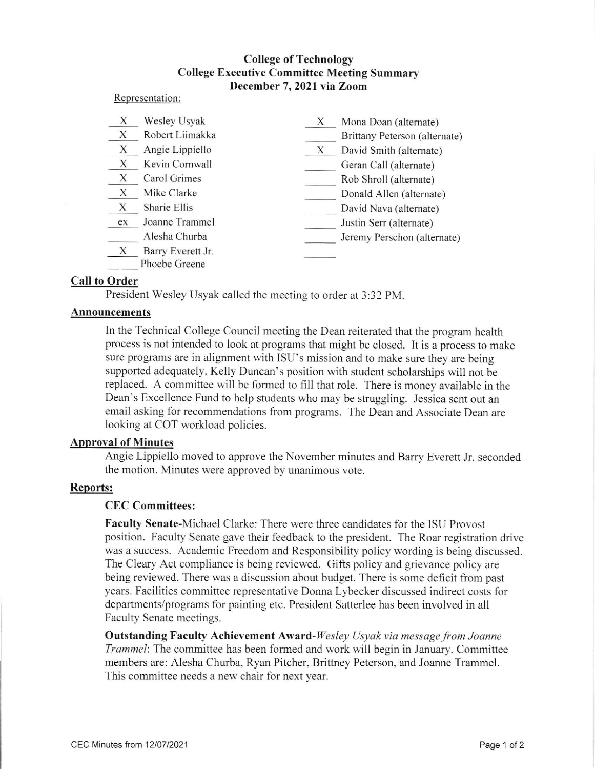# **College of Technology** College Executive Committee Meeting Summary December 7,2021 via Zoom

#### Representation:

| X  | Wesley Usyak                       | Х | Mona Doan (alternate)         |
|----|------------------------------------|---|-------------------------------|
| X  | Robert Liimakka                    |   | Brittany Peterson (alternate) |
| X  | Angie Lippiello                    | X | David Smith (alternate)       |
| X  | Kevin Cornwall                     |   | Geran Call (alternate)        |
| X  | Carol Grimes                       |   | Rob Shroll (alternate)        |
| X  | Mike Clarke                        |   | Donald Allen (alternate)      |
| X  | Sharie Ellis                       |   | David Nava (alternate)        |
| ex | Joanne Trammel                     |   | Justin Serr (alternate)       |
|    | Alesha Churba                      |   | Jeremy Perschon (alternate)   |
| X  | Barry Everett Jr.<br>Phoebe Greene |   |                               |

## Call to Order

President Wesley Usyak called the meeting to order at 3:32 PM

## Announcements

In the Technical College Council meeting the Dean reiterated that the program health process is not intended to look at programs that might be closed. It is a process to make sure programs are in alignment with ISU's mission and to make sure they are being supported adequately. Kelly Duncan's position with student scholarships will not be replaced. A committee will be formed to fill that role. There is money available in the Dean's Excellence Fund to help students who may be struggling. Jessica sent out an email asking for recommendations from programs. The Dean and Associate Dean are looking at COT workload policies.

# **Approval of Minutes**

Angie Lippiello moved to approve the November minutes and Barry Everett Jr. seconded the motion. Minutes were approved by unanimous vote.

## Reports:

#### CEC Committees:

Faculty Senate-Michael Clarke: There were three candidates for the ISU Provost position. Faculty Senate gave their feedback to the president. The Roar registration drive was a success. Academic Freedom and Responsibility policy wording is being discussed. The Cleary Act compliance is being reviewed. Gifts policy and grievance policy are being reviewed. There was a discussion about budget. There is some deficit from past years. Facilities committee representative Donna Lybecker discussed indirect costs for departments/programs for painting etc. President Satterlee has been involved in all Faculty Senate meetings.

**Outstanding Faculty Achievement Award-**Wesley Usyak via message from Joanne Trammel: The committee has been formed and work will begin in January. Committee members are: Alesha Churba, Ryan Pitcher, Brittney Peterson. and Joanne Trammel. This committee needs a new chair for next year.